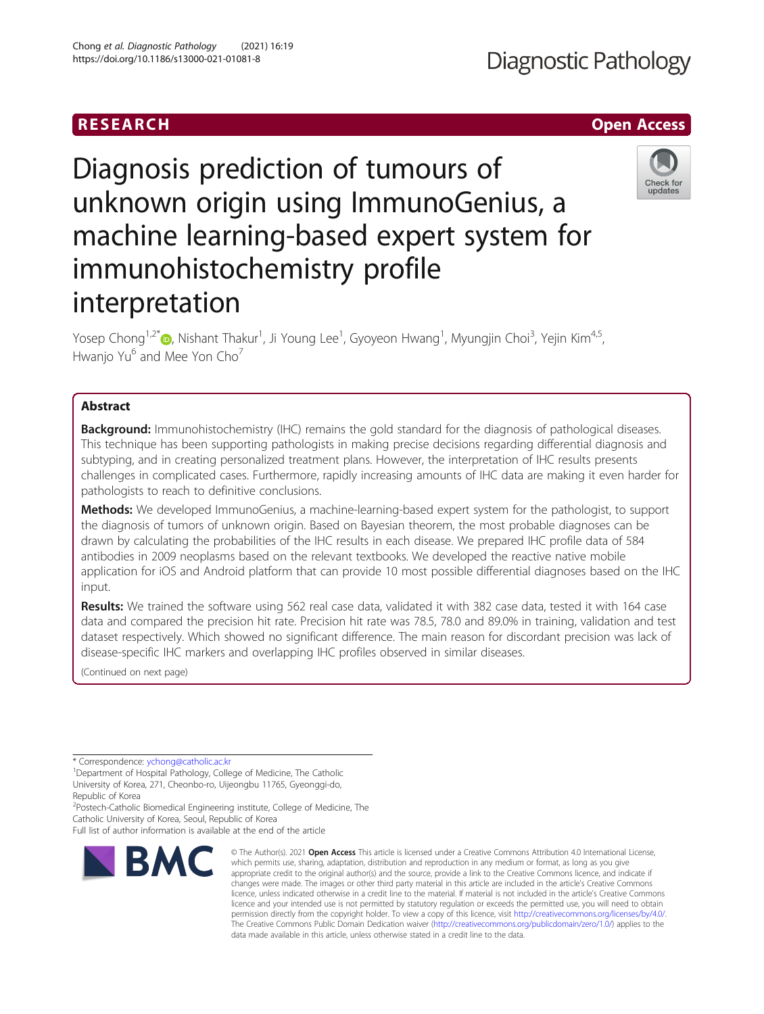# RESEARCH **RESEARCH CHOOSE ACCESS**

# Diagnosis prediction of tumours of unknown origin using ImmunoGenius, a machine learning-based expert system for immunohistochemistry profile interpretation



Yosep Chong<sup>1,2[\\*](http://orcid.org/0000-0001-8615-3064)</sup>t , Nishant Thakur<sup>1</sup>, Ji Young Lee<sup>1</sup>, Gyoyeon Hwang<sup>1</sup>, Myungjin Choi<sup>3</sup>, Yejin Kim<sup>4,5</sup>, Hwanjo Yu<sup>6</sup> and Mee Yon Cho<sup>7</sup>

# Abstract

**Background:** Immunohistochemistry (IHC) remains the gold standard for the diagnosis of pathological diseases. This technique has been supporting pathologists in making precise decisions regarding differential diagnosis and subtyping, and in creating personalized treatment plans. However, the interpretation of IHC results presents challenges in complicated cases. Furthermore, rapidly increasing amounts of IHC data are making it even harder for pathologists to reach to definitive conclusions.

Methods: We developed ImmunoGenius, a machine-learning-based expert system for the pathologist, to support the diagnosis of tumors of unknown origin. Based on Bayesian theorem, the most probable diagnoses can be drawn by calculating the probabilities of the IHC results in each disease. We prepared IHC profile data of 584 antibodies in 2009 neoplasms based on the relevant textbooks. We developed the reactive native mobile application for iOS and Android platform that can provide 10 most possible differential diagnoses based on the IHC input.

Results: We trained the software using 562 real case data, validated it with 382 case data, tested it with 164 case data and compared the precision hit rate. Precision hit rate was 78.5, 78.0 and 89.0% in training, validation and test dataset respectively. Which showed no significant difference. The main reason for discordant precision was lack of disease-specific IHC markers and overlapping IHC profiles observed in similar diseases.

(Continued on next page)

\* Correspondence: [ychong@catholic.ac.kr](mailto:ychong@catholic.ac.kr) <sup>1</sup>

<sup>1</sup> Department of Hospital Pathology, College of Medicine, The Catholic University of Korea, 271, Cheonbo-ro, Uijeongbu 11765, Gyeonggi-do, Republic of Korea

<sup>2</sup> Postech-Catholic Biomedical Engineering institute, College of Medicine, The Catholic University of Korea, Seoul, Republic of Korea

Full list of author information is available at the end of the article



<sup>©</sup> The Author(s), 2021 **Open Access** This article is licensed under a Creative Commons Attribution 4.0 International License, which permits use, sharing, adaptation, distribution and reproduction in any medium or format, as long as you give appropriate credit to the original author(s) and the source, provide a link to the Creative Commons licence, and indicate if changes were made. The images or other third party material in this article are included in the article's Creative Commons licence, unless indicated otherwise in a credit line to the material. If material is not included in the article's Creative Commons licence and your intended use is not permitted by statutory regulation or exceeds the permitted use, you will need to obtain permission directly from the copyright holder. To view a copy of this licence, visit [http://creativecommons.org/licenses/by/4.0/.](http://creativecommons.org/licenses/by/4.0/) The Creative Commons Public Domain Dedication waiver [\(http://creativecommons.org/publicdomain/zero/1.0/](http://creativecommons.org/publicdomain/zero/1.0/)) applies to the data made available in this article, unless otherwise stated in a credit line to the data.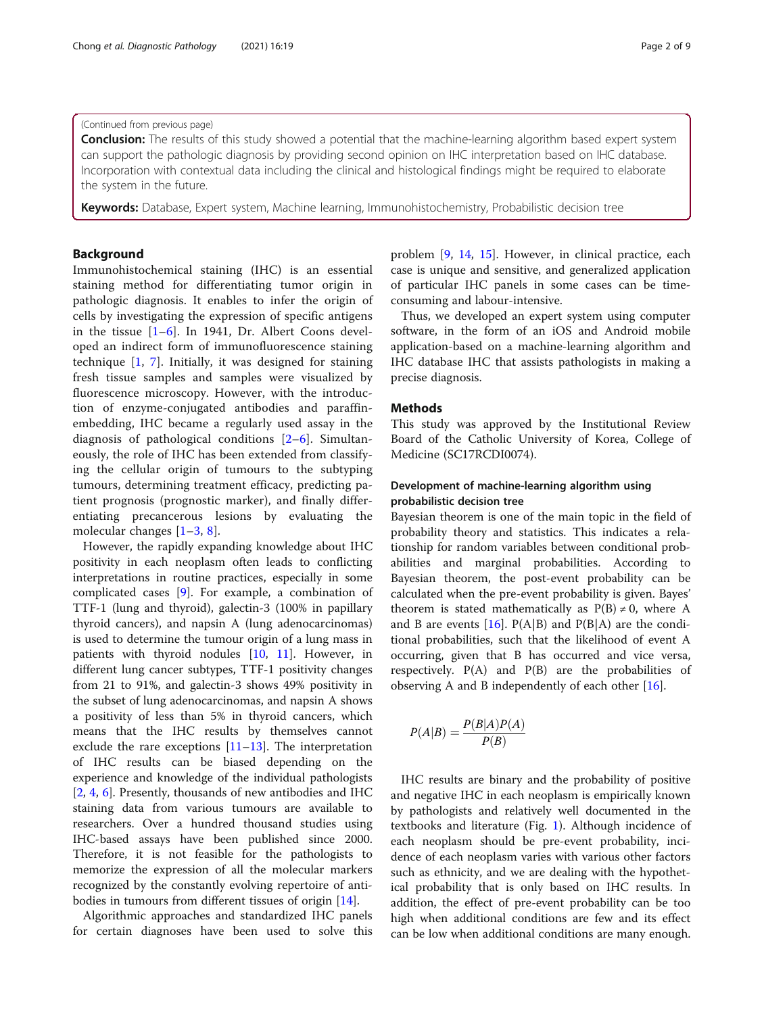# (Continued from previous page)

**Conclusion:** The results of this study showed a potential that the machine-learning algorithm based expert system can support the pathologic diagnosis by providing second opinion on IHC interpretation based on IHC database. Incorporation with contextual data including the clinical and histological findings might be required to elaborate the system in the future.

Keywords: Database, Expert system, Machine learning, Immunohistochemistry, Probabilistic decision tree

# Background

Immunohistochemical staining (IHC) is an essential staining method for differentiating tumor origin in pathologic diagnosis. It enables to infer the origin of cells by investigating the expression of specific antigens in the tissue  $[1-6]$  $[1-6]$  $[1-6]$  $[1-6]$ . In 1941, Dr. Albert Coons developed an indirect form of immunofluorescence staining technique [\[1](#page-8-0), [7](#page-8-0)]. Initially, it was designed for staining fresh tissue samples and samples were visualized by fluorescence microscopy. However, with the introduction of enzyme-conjugated antibodies and paraffinembedding, IHC became a regularly used assay in the diagnosis of pathological conditions [[2](#page-8-0)–[6\]](#page-8-0). Simultaneously, the role of IHC has been extended from classifying the cellular origin of tumours to the subtyping tumours, determining treatment efficacy, predicting patient prognosis (prognostic marker), and finally differentiating precancerous lesions by evaluating the molecular changes [\[1](#page-8-0)–[3](#page-8-0), [8\]](#page-8-0).

However, the rapidly expanding knowledge about IHC positivity in each neoplasm often leads to conflicting interpretations in routine practices, especially in some complicated cases [[9](#page-8-0)]. For example, a combination of TTF-1 (lung and thyroid), galectin-3 (100% in papillary thyroid cancers), and napsin A (lung adenocarcinomas) is used to determine the tumour origin of a lung mass in patients with thyroid nodules [\[10](#page-8-0), [11\]](#page-8-0). However, in different lung cancer subtypes, TTF-1 positivity changes from 21 to 91%, and galectin-3 shows 49% positivity in the subset of lung adenocarcinomas, and napsin A shows a positivity of less than 5% in thyroid cancers, which means that the IHC results by themselves cannot exclude the rare exceptions [\[11](#page-8-0)–[13\]](#page-8-0). The interpretation of IHC results can be biased depending on the experience and knowledge of the individual pathologists [[2,](#page-8-0) [4,](#page-8-0) [6\]](#page-8-0). Presently, thousands of new antibodies and IHC staining data from various tumours are available to researchers. Over a hundred thousand studies using IHC-based assays have been published since 2000. Therefore, it is not feasible for the pathologists to memorize the expression of all the molecular markers recognized by the constantly evolving repertoire of antibodies in tumours from different tissues of origin [\[14](#page-8-0)].

Algorithmic approaches and standardized IHC panels for certain diagnoses have been used to solve this problem [\[9](#page-8-0), [14](#page-8-0), [15\]](#page-8-0). However, in clinical practice, each case is unique and sensitive, and generalized application of particular IHC panels in some cases can be timeconsuming and labour-intensive.

Thus, we developed an expert system using computer software, in the form of an iOS and Android mobile application-based on a machine-learning algorithm and IHC database IHC that assists pathologists in making a precise diagnosis.

#### Methods

This study was approved by the Institutional Review Board of the Catholic University of Korea, College of Medicine (SC17RCDI0074).

# Development of machine-learning algorithm using probabilistic decision tree

Bayesian theorem is one of the main topic in the field of probability theory and statistics. This indicates a relationship for random variables between conditional probabilities and marginal probabilities. According to Bayesian theorem, the post-event probability can be calculated when the pre-event probability is given. Bayes' theorem is stated mathematically as  $P(B) \neq 0$ , where A and B are events  $[16]$  $[16]$  $[16]$ . P(A|B) and P(B|A) are the conditional probabilities, such that the likelihood of event A occurring, given that B has occurred and vice versa, respectively.  $P(A)$  and  $P(B)$  are the probabilities of observing A and B independently of each other [\[16](#page-8-0)].

$$
P(A|B) = \frac{P(B|A)P(A)}{P(B)}
$$

IHC results are binary and the probability of positive and negative IHC in each neoplasm is empirically known by pathologists and relatively well documented in the textbooks and literature (Fig. [1\)](#page-2-0). Although incidence of each neoplasm should be pre-event probability, incidence of each neoplasm varies with various other factors such as ethnicity, and we are dealing with the hypothetical probability that is only based on IHC results. In addition, the effect of pre-event probability can be too high when additional conditions are few and its effect can be low when additional conditions are many enough.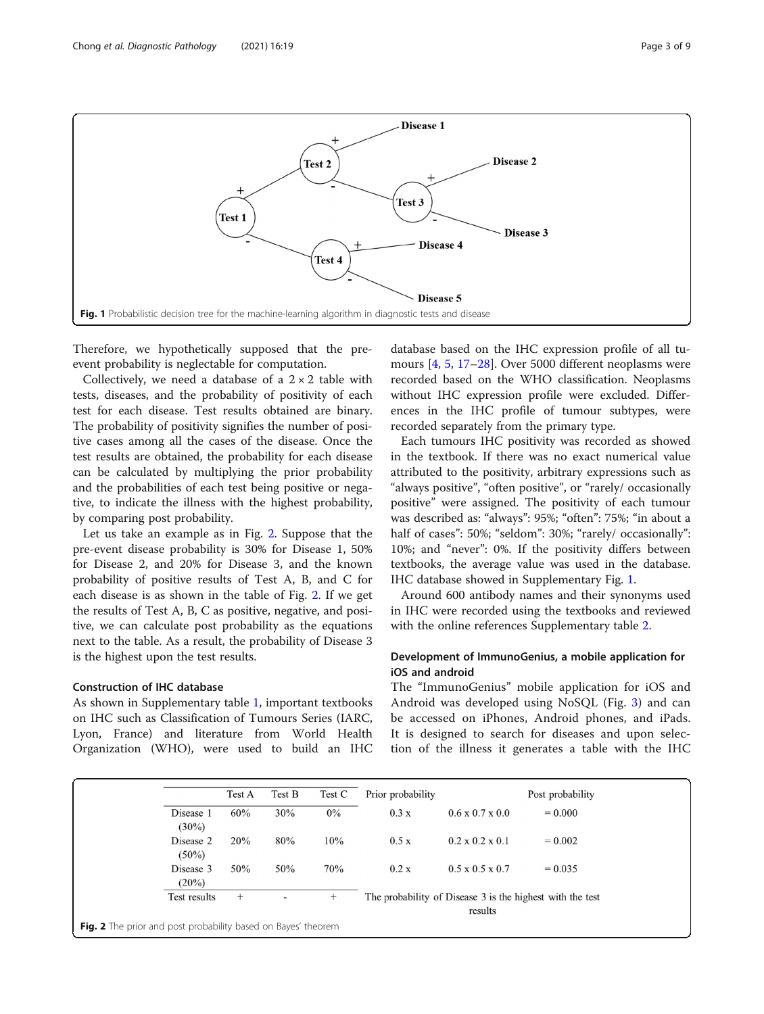<span id="page-2-0"></span>

Therefore, we hypothetically supposed that the preevent probability is neglectable for computation.

Collectively, we need a database of a  $2 \times 2$  table with tests, diseases, and the probability of positivity of each test for each disease. Test results obtained are binary. The probability of positivity signifies the number of positive cases among all the cases of the disease. Once the test results are obtained, the probability for each disease can be calculated by multiplying the prior probability and the probabilities of each test being positive or negative, to indicate the illness with the highest probability, by comparing post probability.

Let us take an example as in Fig. 2. Suppose that the pre-event disease probability is 30% for Disease 1, 50% for Disease 2, and 20% for Disease 3, and the known probability of positive results of Test A, B, and C for each disease is as shown in the table of Fig. 2. If we get the results of Test A, B, C as positive, negative, and positive, we can calculate post probability as the equations next to the table. As a result, the probability of Disease 3 is the highest upon the test results.

# Construction of IHC database

As shown in Supplementary table [1](#page-7-0), important textbooks on IHC such as Classification of Tumours Series (IARC, Lyon, France) and literature from World Health Organization (WHO), were used to build an IHC database based on the IHC expression profile of all tumours [[4,](#page-8-0) [5,](#page-8-0) [17](#page-8-0)–[28](#page-8-0)]. Over 5000 different neoplasms were recorded based on the WHO classification. Neoplasms without IHC expression profile were excluded. Differences in the IHC profile of tumour subtypes, were recorded separately from the primary type.

Each tumours IHC positivity was recorded as showed in the textbook. If there was no exact numerical value attributed to the positivity, arbitrary expressions such as "always positive", "often positive", or "rarely/ occasionally positive" were assigned. The positivity of each tumour was described as: "always": 95%; "often": 75%; "in about a half of cases": 50%; "seldom": 30%; "rarely/ occasionally": 10%; and "never": 0%. If the positivity differs between textbooks, the average value was used in the database. IHC database showed in Supplementary Fig. [1](#page-7-0).

Around 600 antibody names and their synonyms used in IHC were recorded using the textbooks and reviewed with the online references Supplementary table [2.](#page-7-0)

# Development of ImmunoGenius, a mobile application for iOS and android

The "ImmunoGenius" mobile application for iOS and Android was developed using NoSQL (Fig. [3\)](#page-3-0) and can be accessed on iPhones, Android phones, and iPads. It is designed to search for diseases and upon selection of the illness it generates a table with the IHC

|                                                               | Test A | Test B                   | Test C | Prior probability |                                                                      | Post probability |  |  |  |
|---------------------------------------------------------------|--------|--------------------------|--------|-------------------|----------------------------------------------------------------------|------------------|--|--|--|
| Disease 1<br>$(30\%)$                                         | 60%    | 30%                      | $0\%$  | 0.3 x             | $0.6 \times 0.7 \times 0.0$                                          | $= 0.000$        |  |  |  |
| Disease 2<br>$(50\%)$                                         | 20%    | 80%                      | 10%    | 0.5 x             | $0.2 \times 0.2 \times 0.1$                                          | $= 0.002$        |  |  |  |
| Disease 3<br>$(20\%)$                                         | 50%    | 50%                      | 70%    | 0.2 x             | $0.5 \times 0.5 \times 0.7$                                          | $= 0.035$        |  |  |  |
| Test results                                                  | $^{+}$ | $\overline{\phantom{a}}$ | $^{+}$ |                   | The probability of Disease 3 is the highest with the test<br>results |                  |  |  |  |
| Fig. 2 The prior and post probability based on Bayes' theorem |        |                          |        |                   |                                                                      |                  |  |  |  |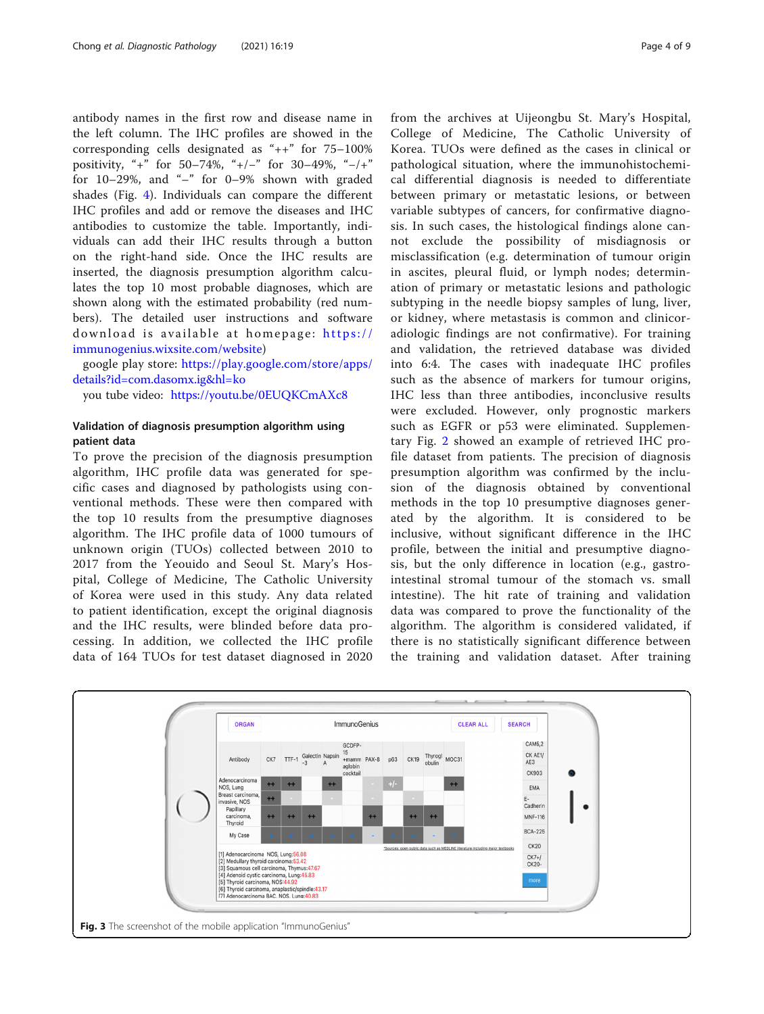<span id="page-3-0"></span>antibody names in the first row and disease name in the left column. The IHC profiles are showed in the corresponding cells designated as "++" for 75–100% positivity, "+" for 50–74%, "+/−" for 30–49%, "−/+" for  $10-29%$ , and "-" for  $0-9%$  shown with graded shades (Fig. [4\)](#page-4-0). Individuals can compare the different IHC profiles and add or remove the diseases and IHC antibodies to customize the table. Importantly, individuals can add their IHC results through a button on the right-hand side. Once the IHC results are inserted, the diagnosis presumption algorithm calculates the top 10 most probable diagnoses, which are shown along with the estimated probability (red numbers). The detailed user instructions and software download is available at homepage: [https://](https://immunogenius.wixsite.com/website) [immunogenius.wixsite.com/website](https://immunogenius.wixsite.com/website))

google play store: [https://play.google.com/store/apps/](https://play.google.com/store/apps/details?id=com.dasomx.ig&hl=ko) [details?id=com.dasomx.ig&hl=ko](https://play.google.com/store/apps/details?id=com.dasomx.ig&hl=ko)

you tube video: [https://youtu.be/0EUQKCmAXc8](https://youtu.be/E-PTdMNexOc)

# Validation of diagnosis presumption algorithm using patient data

To prove the precision of the diagnosis presumption algorithm, IHC profile data was generated for specific cases and diagnosed by pathologists using conventional methods. These were then compared with the top 10 results from the presumptive diagnoses algorithm. The IHC profile data of 1000 tumours of unknown origin (TUOs) collected between 2010 to 2017 from the Yeouido and Seoul St. Mary's Hospital, College of Medicine, The Catholic University of Korea were used in this study. Any data related to patient identification, except the original diagnosis and the IHC results, were blinded before data processing. In addition, we collected the IHC profile data of 164 TUOs for test dataset diagnosed in 2020 from the archives at Uijeongbu St. Mary's Hospital, College of Medicine, The Catholic University of Korea. TUOs were defined as the cases in clinical or pathological situation, where the immunohistochemical differential diagnosis is needed to differentiate between primary or metastatic lesions, or between variable subtypes of cancers, for confirmative diagnosis. In such cases, the histological findings alone cannot exclude the possibility of misdiagnosis or misclassification (e.g. determination of tumour origin in ascites, pleural fluid, or lymph nodes; determination of primary or metastatic lesions and pathologic subtyping in the needle biopsy samples of lung, liver, or kidney, where metastasis is common and clinicoradiologic findings are not confirmative). For training and validation, the retrieved database was divided into 6:4. The cases with inadequate IHC profiles such as the absence of markers for tumour origins, IHC less than three antibodies, inconclusive results were excluded. However, only prognostic markers such as EGFR or p53 were eliminated. Supplementary Fig. [2](#page-7-0) showed an example of retrieved IHC profile dataset from patients. The precision of diagnosis presumption algorithm was confirmed by the inclusion of the diagnosis obtained by conventional methods in the top 10 presumptive diagnoses generated by the algorithm. It is considered to be inclusive, without significant difference in the IHC profile, between the initial and presumptive diagnosis, but the only difference in location (e.g., gastrointestinal stromal tumour of the stomach vs. small intestine). The hit rate of training and validation data was compared to prove the functionality of the algorithm. The algorithm is considered validated, if there is no statistically significant difference between the training and validation dataset. After training

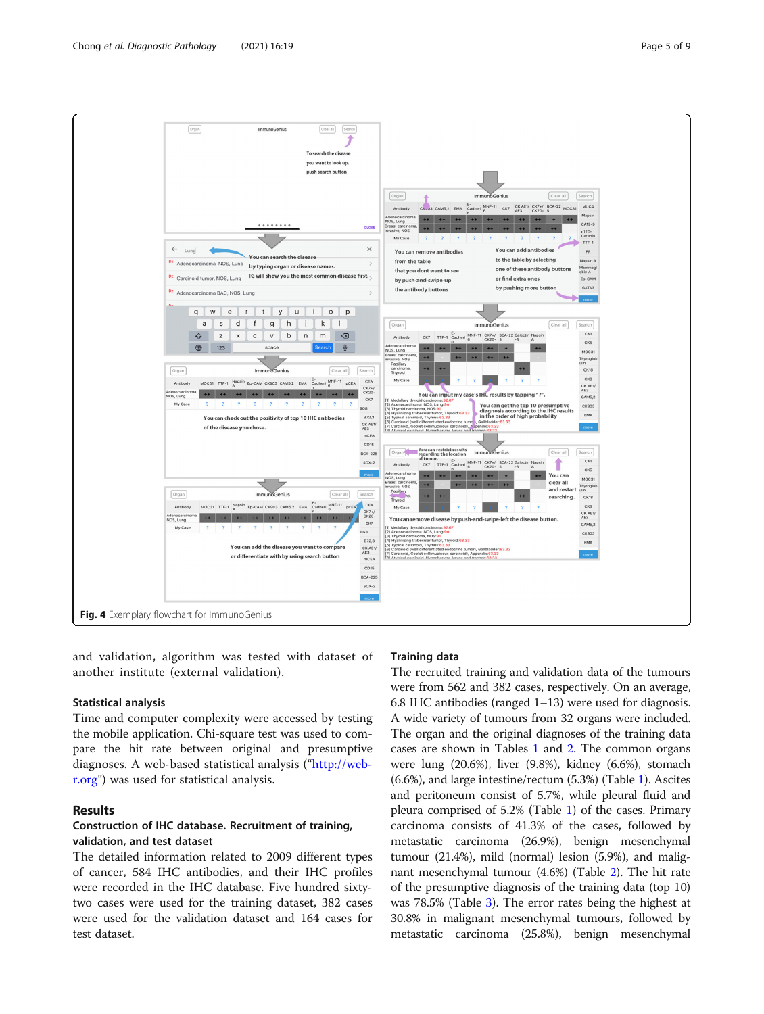<span id="page-4-0"></span>

and validation, algorithm was tested with dataset of another institute (external validation).

## Statistical analysis

Time and computer complexity were accessed by testing the mobile application. Chi-square test was used to compare the hit rate between original and presumptive diagnoses. A web-based statistical analysis ("[http://web](http://web-r.org)[r.org](http://web-r.org)") was used for statistical analysis.

# Results

# Construction of IHC database. Recruitment of training, validation, and test dataset

The detailed information related to 2009 different types of cancer, 584 IHC antibodies, and their IHC profiles were recorded in the IHC database. Five hundred sixtytwo cases were used for the training dataset, 382 cases were used for the validation dataset and 164 cases for test dataset.

# Training data

The recruited training and validation data of the tumours were from 562 and 382 cases, respectively. On an average, 6.8 IHC antibodies (ranged 1–13) were used for diagnosis. A wide variety of tumours from 32 organs were included. The organ and the original diagnoses of the training data cases are shown in Tables [1](#page-5-0) and [2](#page-5-0). The common organs were lung (20.6%), liver (9.8%), kidney (6.6%), stomach (6.6%), and large intestine/rectum (5.3%) (Table [1](#page-5-0)). Ascites and peritoneum consist of 5.7%, while pleural fluid and pleura comprised of 5.2% (Table [1](#page-5-0)) of the cases. Primary carcinoma consists of 41.3% of the cases, followed by metastatic carcinoma (26.9%), benign mesenchymal tumour (21.4%), mild (normal) lesion (5.9%), and malignant mesenchymal tumour (4.6%) (Table [2\)](#page-5-0). The hit rate of the presumptive diagnosis of the training data (top 10) was 78.5% (Table [3\)](#page-6-0). The error rates being the highest at 30.8% in malignant mesenchymal tumours, followed by metastatic carcinoma (25.8%), benign mesenchymal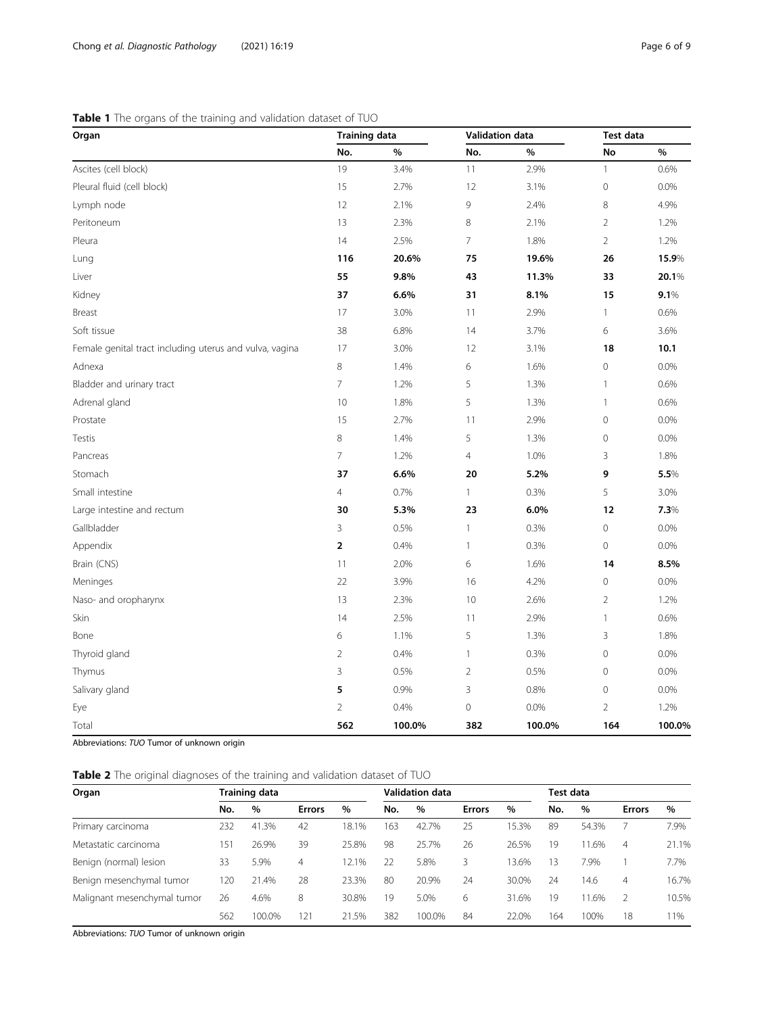# <span id="page-5-0"></span>Table 1 The organs of the training and validation dataset of TUO

| Organ                                                   | <b>Training data</b>     |        | Validation data |        | Test data      |        |
|---------------------------------------------------------|--------------------------|--------|-----------------|--------|----------------|--------|
|                                                         | No.                      | $\%$   | No.             | $\%$   | No             | $\%$   |
| Ascites (cell block)                                    | 19                       | 3.4%   | 11              | 2.9%   | $\mathbf{1}$   | 0.6%   |
| Pleural fluid (cell block)                              | 15                       | 2.7%   | 12              | 3.1%   | $\mathbf 0$    | 0.0%   |
| Lymph node                                              | 12                       | 2.1%   | 9               | 2.4%   | 8              | 4.9%   |
| Peritoneum                                              | 13                       | 2.3%   | $\,8\,$         | 2.1%   | $\overline{2}$ | 1.2%   |
| Pleura                                                  | 14                       | 2.5%   | $\overline{7}$  | 1.8%   | $\overline{2}$ | 1.2%   |
| Lung                                                    | 116                      | 20.6%  | 75              | 19.6%  | 26             | 15.9%  |
| Liver                                                   | 55                       | 9.8%   | 43              | 11.3%  | 33             | 20.1%  |
| Kidney                                                  | 37                       | 6.6%   | 31              | 8.1%   | 15             | 9.1%   |
| Breast                                                  | 17                       | 3.0%   | 11              | 2.9%   | 1              | 0.6%   |
| Soft tissue                                             | 38                       | 6.8%   | 14              | 3.7%   | 6              | 3.6%   |
| Female genital tract including uterus and vulva, vagina | 17                       | 3.0%   | 12              | 3.1%   | 18             | 10.1   |
| Adnexa                                                  | 8                        | 1.4%   | 6               | 1.6%   | $\mathbf 0$    | 0.0%   |
| Bladder and urinary tract                               | $\overline{\phantom{a}}$ | 1.2%   | 5               | 1.3%   | $\mathbf{1}$   | 0.6%   |
| Adrenal gland                                           | 10                       | 1.8%   | 5               | 1.3%   | $\mathbf{1}$   | 0.6%   |
| Prostate                                                | 15                       | 2.7%   | 11              | 2.9%   | 0              | 0.0%   |
| Testis                                                  | $\,8\,$                  | 1.4%   | 5               | 1.3%   | 0              | 0.0%   |
| Pancreas                                                | $\overline{7}$           | 1.2%   | $\overline{4}$  | 1.0%   | 3              | 1.8%   |
| Stomach                                                 | 37                       | 6.6%   | 20              | 5.2%   | 9              | 5.5%   |
| Small intestine                                         | $\overline{4}$           | 0.7%   | $\mathbf{1}$    | 0.3%   | 5              | 3.0%   |
| Large intestine and rectum                              | 30                       | 5.3%   | 23              | 6.0%   | 12             | 7.3%   |
| Gallbladder                                             | 3                        | 0.5%   | $\mathbf{1}$    | 0.3%   | $\overline{0}$ | 0.0%   |
| Appendix                                                | $\mathbf 2$              | 0.4%   | $\mathbf{1}$    | 0.3%   | $\overline{0}$ | 0.0%   |
| Brain (CNS)                                             | 11                       | 2.0%   | 6               | 1.6%   | 14             | 8.5%   |
| Meninges                                                | 22                       | 3.9%   | 16              | 4.2%   | 0              | 0.0%   |
| Naso- and oropharynx                                    | 13                       | 2.3%   | 10              | 2.6%   | $\sqrt{2}$     | 1.2%   |
| Skin                                                    | 14                       | 2.5%   | 11              | 2.9%   | $\mathbf{1}$   | 0.6%   |
| Bone                                                    | 6                        | 1.1%   | 5               | 1.3%   | 3              | 1.8%   |
| Thyroid gland                                           | $\overline{2}$           | 0.4%   | $\mathbf{1}$    | 0.3%   | $\mathbf 0$    | 0.0%   |
| Thymus                                                  | 3                        | 0.5%   | $\overline{2}$  | 0.5%   | 0              | 0.0%   |
| Salivary gland                                          | 5                        | 0.9%   | $\mathsf 3$     | 0.8%   | 0              | 0.0%   |
| Eye                                                     | $\overline{2}$           | 0.4%   | $\mathbf 0$     | 0.0%   | $\overline{2}$ | 1.2%   |
| Total                                                   | 562                      | 100.0% | 382             | 100.0% | 164            | 100.0% |

Abbreviations: TUO Tumor of unknown origin

| Table 2 The original diagnoses of the training and validation dataset of TUO |  |  |  |  |
|------------------------------------------------------------------------------|--|--|--|--|
|------------------------------------------------------------------------------|--|--|--|--|

| Organ                       | Training data |        |               |       | Validation data |        |               |       | Test data |       |               |       |
|-----------------------------|---------------|--------|---------------|-------|-----------------|--------|---------------|-------|-----------|-------|---------------|-------|
|                             | No.           | %      | <b>Errors</b> | %     | No.             | $\%$   | <b>Errors</b> | $\%$  | No.       | $\%$  | <b>Errors</b> | %     |
| Primary carcinoma           | 232           | 41.3%  | 42            | 18.1% | 163             | 42.7%  | 25            | 15.3% | 89        | 54.3% |               | 7.9%  |
| Metastatic carcinoma        | 151           | 26.9%  | 39            | 25.8% | 98              | 25.7%  | 26            | 26.5% | 19        | 11.6% | 4             | 21.1% |
| Benign (normal) lesion      | 33            | 5.9%   | 4             | 12.1% | 22              | 5.8%   | 3             | 13.6% | 13        | 7.9%  |               | 7.7%  |
| Benign mesenchymal tumor    | 120           | 21.4%  | 28            | 23.3% | 80              | 20.9%  | 24            | 30.0% | 24        | 14.6  | 4             | 16.7% |
| Malignant mesenchymal tumor | 26            | 4.6%   | 8             | 30.8% | 19              | 5.0%   | 6             | 31.6% | 19        | 11.6% |               | 10.5% |
|                             | 562           | 100.0% | 121           | 21.5% | 382             | 100.0% | 84            | 22.0% | 164       | 100%  | 18            | 11%   |

Abbreviations: TUO Tumor of unknown origin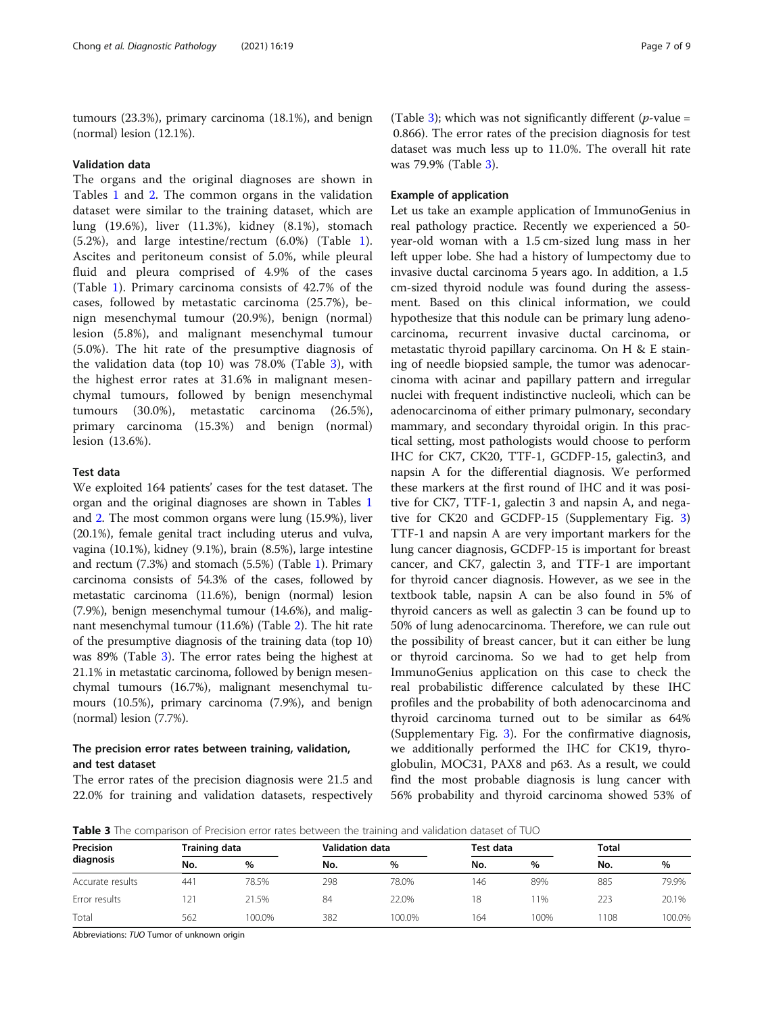<span id="page-6-0"></span>tumours (23.3%), primary carcinoma (18.1%), and benign (normal) lesion (12.1%).

## Validation data

The organs and the original diagnoses are shown in Tables [1](#page-5-0) and [2](#page-5-0). The common organs in the validation dataset were similar to the training dataset, which are lung (19.6%), liver (11.3%), kidney (8.1%), stomach (5.2%), and large intestine/rectum (6.0%) (Table [1](#page-5-0)). Ascites and peritoneum consist of 5.0%, while pleural fluid and pleura comprised of 4.9% of the cases (Table [1\)](#page-5-0). Primary carcinoma consists of 42.7% of the cases, followed by metastatic carcinoma (25.7%), benign mesenchymal tumour (20.9%), benign (normal) lesion (5.8%), and malignant mesenchymal tumour (5.0%). The hit rate of the presumptive diagnosis of the validation data (top 10) was 78.0% (Table 3), with the highest error rates at 31.6% in malignant mesenchymal tumours, followed by benign mesenchymal tumours (30.0%), metastatic carcinoma (26.5%), primary carcinoma (15.3%) and benign (normal) lesion (13.6%).

# Test data

We exploited 164 patients' cases for the test dataset. The organ and the original diagnoses are shown in Tables [1](#page-5-0) and [2](#page-5-0). The most common organs were lung (15.9%), liver (20.1%), female genital tract including uterus and vulva, vagina (10.1%), kidney (9.1%), brain (8.5%), large intestine and rectum (7.3%) and stomach (5.5%) (Table [1](#page-5-0)). Primary carcinoma consists of 54.3% of the cases, followed by metastatic carcinoma (11.6%), benign (normal) lesion (7.9%), benign mesenchymal tumour (14.6%), and malignant mesenchymal tumour (11.6%) (Table [2](#page-5-0)). The hit rate of the presumptive diagnosis of the training data (top 10) was 89% (Table 3). The error rates being the highest at 21.1% in metastatic carcinoma, followed by benign mesenchymal tumours (16.7%), malignant mesenchymal tumours (10.5%), primary carcinoma (7.9%), and benign (normal) lesion (7.7%).

# The precision error rates between training, validation, and test dataset

The error rates of the precision diagnosis were 21.5 and 22.0% for training and validation datasets, respectively

(Table 3); which was not significantly different ( $p$ -value = 0.866). The error rates of the precision diagnosis for test dataset was much less up to 11.0%. The overall hit rate was 79.9% (Table 3).

## Example of application

Let us take an example application of ImmunoGenius in real pathology practice. Recently we experienced a 50 year-old woman with a 1.5 cm-sized lung mass in her left upper lobe. She had a history of lumpectomy due to invasive ductal carcinoma 5 years ago. In addition, a 1.5 cm-sized thyroid nodule was found during the assessment. Based on this clinical information, we could hypothesize that this nodule can be primary lung adenocarcinoma, recurrent invasive ductal carcinoma, or metastatic thyroid papillary carcinoma. On H & E staining of needle biopsied sample, the tumor was adenocarcinoma with acinar and papillary pattern and irregular nuclei with frequent indistinctive nucleoli, which can be adenocarcinoma of either primary pulmonary, secondary mammary, and secondary thyroidal origin. In this practical setting, most pathologists would choose to perform IHC for CK7, CK20, TTF-1, GCDFP-15, galectin3, and napsin A for the differential diagnosis. We performed these markers at the first round of IHC and it was positive for CK7, TTF-1, galectin 3 and napsin A, and negative for CK20 and GCDFP-15 (Supplementary Fig. [3](#page-7-0)) TTF-1 and napsin A are very important markers for the lung cancer diagnosis, GCDFP-15 is important for breast cancer, and CK7, galectin 3, and TTF-1 are important for thyroid cancer diagnosis. However, as we see in the textbook table, napsin A can be also found in 5% of thyroid cancers as well as galectin 3 can be found up to 50% of lung adenocarcinoma. Therefore, we can rule out the possibility of breast cancer, but it can either be lung or thyroid carcinoma. So we had to get help from ImmunoGenius application on this case to check the real probabilistic difference calculated by these IHC profiles and the probability of both adenocarcinoma and thyroid carcinoma turned out to be similar as 64% (Supplementary Fig. [3\)](#page-7-0). For the confirmative diagnosis, we additionally performed the IHC for CK19, thyroglobulin, MOC31, PAX8 and p63. As a result, we could find the most probable diagnosis is lung cancer with 56% probability and thyroid carcinoma showed 53% of

Table 3 The comparison of Precision error rates between the training and validation dataset of TUO

| Precision<br>diagnosis |     | Training data |     | <b>Validation data</b> | Test data |       | <b>Total</b> |       |
|------------------------|-----|---------------|-----|------------------------|-----------|-------|--------------|-------|
|                        | No. | $\%$          | No. | $\frac{0}{0}$          | No.       | $\%$  | No.          | %     |
| Accurate results       | 441 | 78.5%         | 298 | 78.0%                  | 146       | 89%   | 885          | 79.9% |
| Error results          | 21  | 21.5%         | 84  | 22.0%                  | 18        | $1\%$ | 223          | 20.1% |
| Total                  | 562 | 100.0%        | 382 | 100.0%                 | 164       | 100%  | 1108         | 00.0% |

Abbreviations: TUO Tumor of unknown origin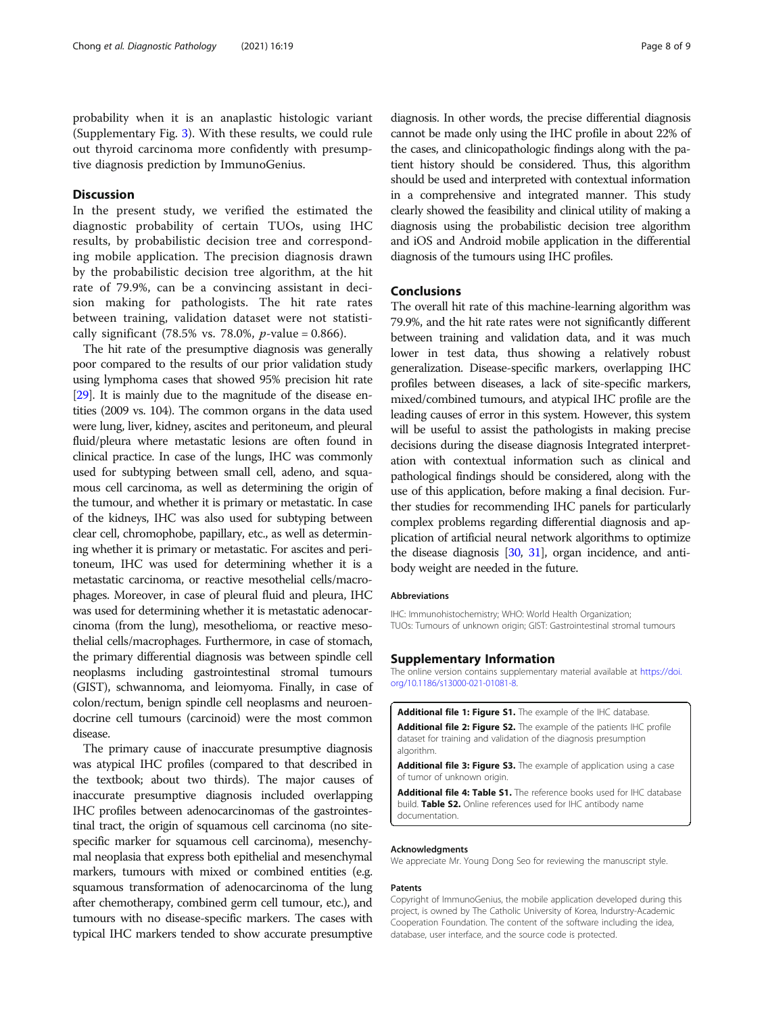<span id="page-7-0"></span>probability when it is an anaplastic histologic variant (Supplementary Fig. 3). With these results, we could rule out thyroid carcinoma more confidently with presumptive diagnosis prediction by ImmunoGenius.

# **Discussion**

In the present study, we verified the estimated the diagnostic probability of certain TUOs, using IHC results, by probabilistic decision tree and corresponding mobile application. The precision diagnosis drawn by the probabilistic decision tree algorithm, at the hit rate of 79.9%, can be a convincing assistant in decision making for pathologists. The hit rate rates between training, validation dataset were not statistically significant (78.5% vs. 78.0%,  $p$ -value = 0.866).

The hit rate of the presumptive diagnosis was generally poor compared to the results of our prior validation study using lymphoma cases that showed 95% precision hit rate [[29](#page-8-0)]. It is mainly due to the magnitude of the disease entities (2009 vs. 104). The common organs in the data used were lung, liver, kidney, ascites and peritoneum, and pleural fluid/pleura where metastatic lesions are often found in clinical practice. In case of the lungs, IHC was commonly used for subtyping between small cell, adeno, and squamous cell carcinoma, as well as determining the origin of the tumour, and whether it is primary or metastatic. In case of the kidneys, IHC was also used for subtyping between clear cell, chromophobe, papillary, etc., as well as determining whether it is primary or metastatic. For ascites and peritoneum, IHC was used for determining whether it is a metastatic carcinoma, or reactive mesothelial cells/macrophages. Moreover, in case of pleural fluid and pleura, IHC was used for determining whether it is metastatic adenocarcinoma (from the lung), mesothelioma, or reactive mesothelial cells/macrophages. Furthermore, in case of stomach, the primary differential diagnosis was between spindle cell neoplasms including gastrointestinal stromal tumours (GIST), schwannoma, and leiomyoma. Finally, in case of colon/rectum, benign spindle cell neoplasms and neuroendocrine cell tumours (carcinoid) were the most common disease.

The primary cause of inaccurate presumptive diagnosis was atypical IHC profiles (compared to that described in the textbook; about two thirds). The major causes of inaccurate presumptive diagnosis included overlapping IHC profiles between adenocarcinomas of the gastrointestinal tract, the origin of squamous cell carcinoma (no sitespecific marker for squamous cell carcinoma), mesenchymal neoplasia that express both epithelial and mesenchymal markers, tumours with mixed or combined entities (e.g. squamous transformation of adenocarcinoma of the lung after chemotherapy, combined germ cell tumour, etc.), and tumours with no disease-specific markers. The cases with typical IHC markers tended to show accurate presumptive

diagnosis. In other words, the precise differential diagnosis cannot be made only using the IHC profile in about 22% of the cases, and clinicopathologic findings along with the patient history should be considered. Thus, this algorithm should be used and interpreted with contextual information in a comprehensive and integrated manner. This study clearly showed the feasibility and clinical utility of making a diagnosis using the probabilistic decision tree algorithm and iOS and Android mobile application in the differential diagnosis of the tumours using IHC profiles.

#### Conclusions

The overall hit rate of this machine-learning algorithm was 79.9%, and the hit rate rates were not significantly different between training and validation data, and it was much lower in test data, thus showing a relatively robust generalization. Disease-specific markers, overlapping IHC profiles between diseases, a lack of site-specific markers, mixed/combined tumours, and atypical IHC profile are the leading causes of error in this system. However, this system will be useful to assist the pathologists in making precise decisions during the disease diagnosis Integrated interpretation with contextual information such as clinical and pathological findings should be considered, along with the use of this application, before making a final decision. Further studies for recommending IHC panels for particularly complex problems regarding differential diagnosis and application of artificial neural network algorithms to optimize the disease diagnosis [\[30,](#page-8-0) [31\]](#page-8-0), organ incidence, and antibody weight are needed in the future.

#### Abbreviations

IHC: Immunohistochemistry; WHO: World Health Organization; TUOs: Tumours of unknown origin; GIST: Gastrointestinal stromal tumours

#### Supplementary Information

The online version contains supplementary material available at [https://doi.](https://doi.org/10.1186/s13000-021-01081-8) [org/10.1186/s13000-021-01081-8.](https://doi.org/10.1186/s13000-021-01081-8)

Additional file 1: Figure S1. The example of the IHC database. Additional file 2: Figure S2. The example of the patients IHC profile dataset for training and validation of the diagnosis presumption algorithm.

Additional file 3: Figure S3. The example of application using a case of tumor of unknown origin.

Additional file 4: Table S1. The reference books used for IHC database build. Table S2. Online references used for IHC antibody name documentation.

#### Acknowledgments

We appreciate Mr. Young Dong Seo for reviewing the manuscript style.

#### Patents

Copyright of ImmunoGenius, the mobile application developed during this project, is owned by The Catholic University of Korea, Indurstry-Academic Cooperation Foundation. The content of the software including the idea, database, user interface, and the source code is protected.